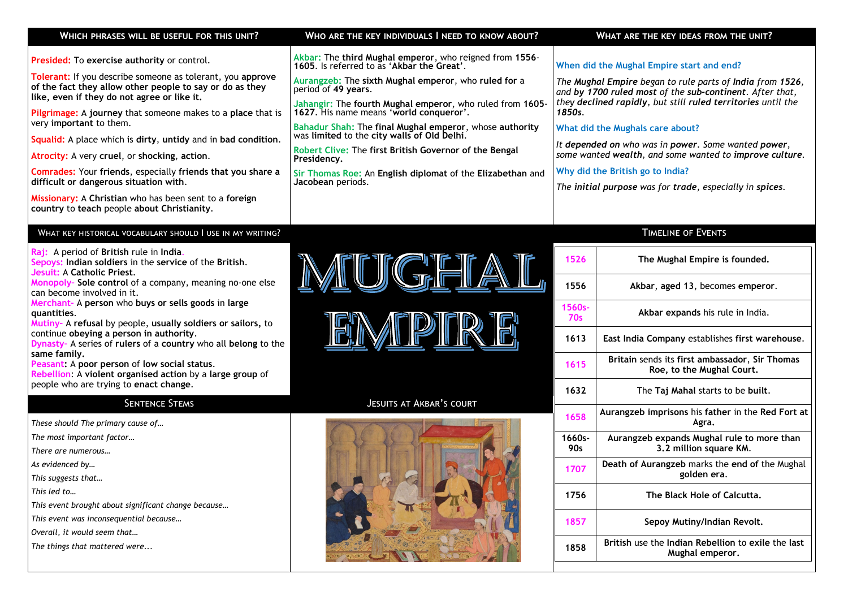| WHICH PHRASES WILL BE USEFUL FOR THIS UNIT?                                                                                                                                                                                                                                                                                                                                                                                                                 | WHO ARE THE KEY INDIVIDUALS I NEED TO KNOW ABOUT?                                                                                                                                                                                                                                                                                                                                                                                                                               | WHAT ARE THE KEY IDEAS FROM THE UNIT?                                                                                                                                                                                                                                                                                                                                                              |
|-------------------------------------------------------------------------------------------------------------------------------------------------------------------------------------------------------------------------------------------------------------------------------------------------------------------------------------------------------------------------------------------------------------------------------------------------------------|---------------------------------------------------------------------------------------------------------------------------------------------------------------------------------------------------------------------------------------------------------------------------------------------------------------------------------------------------------------------------------------------------------------------------------------------------------------------------------|----------------------------------------------------------------------------------------------------------------------------------------------------------------------------------------------------------------------------------------------------------------------------------------------------------------------------------------------------------------------------------------------------|
| <b>Presided:</b> To exercise authority or control.<br><b>Tolerant:</b> If you describe someone as tolerant, you approve<br>of the fact they allow other people to say or do as they<br>like, even if they do not agree or like it.<br><b>Pilgrimage:</b> A journey that someone makes to a place that is<br>very important to them.<br><b>Squalid:</b> A place which is dirty, untidy and in bad condition.<br>Atrocity: A very cruel, or shocking, action. | Akbar: The third Mughal emperor, who reigned from 1556-<br>1605. Is referred to as 'Akbar the Great'.<br>Aurangzeb: The sixth Mughal emperor, who ruled for a<br>period of 49 years.<br>Jahangir: The fourth Mughal emperor, who ruled from 1605-<br>1627. His name means 'world conqueror'.<br>Bahadur Shah: The final Mughal emperor, whose authority<br>was limited to the city walls of Old Delhi.<br>Robert Clive: The first British Governor of the Bengal<br>Presidency. | When did the Mughal Empire start and end?<br>The Mughal Empire began to rule parts of India from 1526,<br>and by 1700 ruled most of the sub-continent. After that,<br>they declined rapidly, but still ruled territories until the<br>1850s.<br>What did the Mughals care about?<br>It depended on who was in power. Some wanted power,<br>some wanted wealth, and some wanted to improve culture. |
| Comrades: Your friends, especially friends that you share a<br>difficult or dangerous situation with.<br>Missionary: A Christian who has been sent to a foreign<br>country to teach people about Christianity.                                                                                                                                                                                                                                              | Sir Thomas Roe: An English diplomat of the Elizabethan and<br>Jacobean periods.                                                                                                                                                                                                                                                                                                                                                                                                 | Why did the British go to India?<br>The initial purpose was for trade, especially in spices.                                                                                                                                                                                                                                                                                                       |
| WHAT KEY HISTORICAL VOCABULARY SHOULD I USE IN MY WRITING?                                                                                                                                                                                                                                                                                                                                                                                                  |                                                                                                                                                                                                                                                                                                                                                                                                                                                                                 | <b>TIMELINE OF EVENTS</b>                                                                                                                                                                                                                                                                                                                                                                          |

**Raj:** A period of **British** rule in **India**. **Sepoys: Indian soldiers** in the **service** of the **British**. **Jesuit:** A **Catholic Priest**. **Monopoly– Sole control** of a company, meaning no-one else

can become involved in it. **Merchant–** A **person** who **buys or sells goods** in **large** 

**quantities**. **Mutiny–** A **refusal** by people, **usually soldiers or sailors,** to continue **obeying a person in authority**.

**Dynasty–** A series of **rulers** of a **country** who all **belong** to the **same family.** 

**Peasant:** A **poor person** of **low social status**.

**Rebellion**: A **violent organised action** by a **large group** of people who are trying to **enact change**.

*These should The primary cause of… The most important factor… There are numerous… As evidenced by… This suggests that…* 

*This led to…* 

*This event brought about significant change because…* 

*This event was inconsequential because…* 

*Overall, it would seem that…* 

*The things that mattered were...* 

| <u>MUGFIAI</u>  |  |  |
|-----------------|--|--|
| TE'N AFDIFD TE' |  |  |

<u> III ya III iliyo iliyo iliyo iliyo iliyo iliyo iliyo iliyo iliyo iliyo iliyo iliyo iliyo iliyo iliyo iliyo i</u>

## SENTENCE STEMS JESUITS AT AKBAR'S COURT



| 1526                 | The Mughal Empire is founded.                                               |
|----------------------|-----------------------------------------------------------------------------|
| 1556                 | Akbar, aged 13, becomes emperor.                                            |
| 1560s-<br><b>70s</b> | Akbar expands his rule in India.                                            |
| 1613                 | East India Company establishes first warehouse.                             |
| 1615                 | Britain sends its first ambassador, Sir Thomas<br>Roe, to the Mughal Court. |
| 1632                 | The Taj Mahal starts to be built.                                           |
| 1658                 | Aurangzeb imprisons his father in the Red Fort at<br>Agra.                  |
| $1660s -$<br>90s     | Aurangzeb expands Mughal rule to more than<br>3.2 million square KM.        |
| 1707                 | Death of Aurangzeb marks the end of the Mughal<br>golden era.               |
| 1756                 | The Black Hole of Calcutta.                                                 |
| 1857                 | Sepoy Mutiny/Indian Revolt.                                                 |
| 1858                 | British use the Indian Rebellion to exile the last<br>Mughal emperor.       |